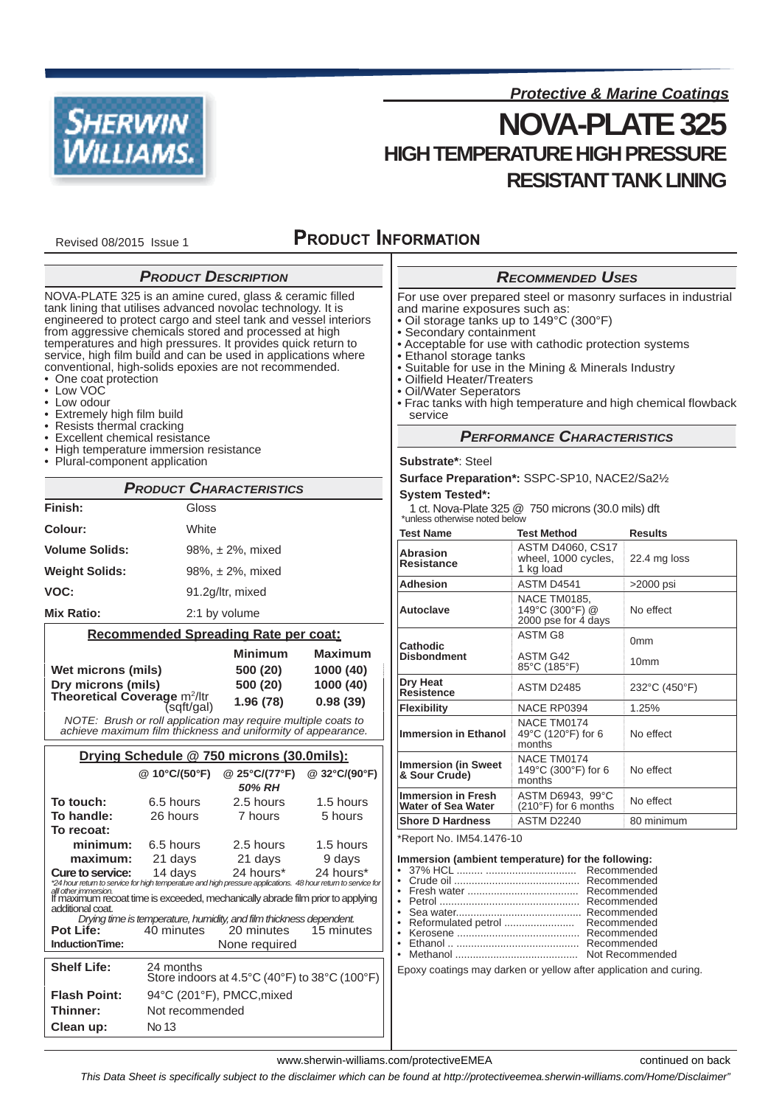

Revised 08/2015 Issue 1

#### **PRODUCT INFORMATION**

| <b>PRODUCT DESCRIPTION</b><br>NOVA-PLATE 325 is an amine cured, glass & ceramic filled<br>tank lining that utilises advanced novolac technology. It is<br>engineered to protect cargo and steel tank and vessel interiors<br>from aggressive chemicals stored and processed at high<br>temperatures and high pressures. It provides quick return to<br>service, high film build and can be used in applications where<br>conventional, high-solids epoxies are not recommended.<br>• One coat protection<br>• Low VOC<br>• Low odour<br>• Extremely high film build<br>• Resists thermal cracking<br>• Excellent chemical resistance<br>• High temperature immersion resistance<br>• Plural-component application |                                              |                                                                      |                     | <b>RECOMMENDED USES</b><br>For use over prepared steel or masonry surfaces in industrial<br>and marine exposures such as:<br>• Oil storage tanks up to 149°C (300°F)<br>• Secondary containment<br>• Acceptable for use with cathodic protection systems<br>• Ethanol storage tanks<br>• Suitable for use in the Mining & Minerals Industry<br>• Oilfield Heater/Treaters<br>• Oil/Water Seperators<br>• Frac tanks with high temperature and high chemical flowback<br>service<br><b>PERFORMANCE CHARACTERISTICS</b><br><b>Substrate*: Steel</b> |                                                               |                  |
|-------------------------------------------------------------------------------------------------------------------------------------------------------------------------------------------------------------------------------------------------------------------------------------------------------------------------------------------------------------------------------------------------------------------------------------------------------------------------------------------------------------------------------------------------------------------------------------------------------------------------------------------------------------------------------------------------------------------|----------------------------------------------|----------------------------------------------------------------------|---------------------|---------------------------------------------------------------------------------------------------------------------------------------------------------------------------------------------------------------------------------------------------------------------------------------------------------------------------------------------------------------------------------------------------------------------------------------------------------------------------------------------------------------------------------------------------|---------------------------------------------------------------|------------------|
| <b>PRODUCT CHARACTERISTICS</b>                                                                                                                                                                                                                                                                                                                                                                                                                                                                                                                                                                                                                                                                                    |                                              |                                                                      |                     | Surface Preparation*: SSPC-SP10, NACE2/Sa21/2<br><b>System Tested*:</b>                                                                                                                                                                                                                                                                                                                                                                                                                                                                           |                                                               |                  |
| Finish:                                                                                                                                                                                                                                                                                                                                                                                                                                                                                                                                                                                                                                                                                                           | Gloss                                        |                                                                      |                     | 1 ct. Nova-Plate 325 @ 750 microns (30.0 mils) dft                                                                                                                                                                                                                                                                                                                                                                                                                                                                                                |                                                               |                  |
| Colour:                                                                                                                                                                                                                                                                                                                                                                                                                                                                                                                                                                                                                                                                                                           | White                                        |                                                                      |                     | *unless otherwise noted below<br><b>Test Name</b>                                                                                                                                                                                                                                                                                                                                                                                                                                                                                                 | <b>Test Method</b>                                            | <b>Results</b>   |
| <b>Volume Solids:</b><br><b>Weight Solids:</b>                                                                                                                                                                                                                                                                                                                                                                                                                                                                                                                                                                                                                                                                    |                                              | 98%, ± 2%, mixed<br>98%, ± 2%, mixed                                 |                     | <b>Abrasion</b><br>Resistance                                                                                                                                                                                                                                                                                                                                                                                                                                                                                                                     | <b>ASTM D4060, CS17</b><br>wheel, 1000 cycles,<br>1 kg load   | 22.4 mg loss     |
| VOC:                                                                                                                                                                                                                                                                                                                                                                                                                                                                                                                                                                                                                                                                                                              |                                              | 91.2g/ltr, mixed                                                     |                     | Adhesion                                                                                                                                                                                                                                                                                                                                                                                                                                                                                                                                          | ASTM D4541                                                    | >2000 psi        |
| <b>Mix Ratio:</b>                                                                                                                                                                                                                                                                                                                                                                                                                                                                                                                                                                                                                                                                                                 |                                              | 2:1 by volume                                                        |                     | <b>Autoclave</b>                                                                                                                                                                                                                                                                                                                                                                                                                                                                                                                                  | <b>NACE TM0185,</b><br>149°C (300°F) @<br>2000 pse for 4 days | No effect        |
|                                                                                                                                                                                                                                                                                                                                                                                                                                                                                                                                                                                                                                                                                                                   |                                              | Recommended Spreading Rate per coat:                                 |                     | <b>Cathodic</b>                                                                                                                                                                                                                                                                                                                                                                                                                                                                                                                                   | <b>ASTM G8</b>                                                | 0 <sub>mm</sub>  |
| Wet microns (mils)                                                                                                                                                                                                                                                                                                                                                                                                                                                                                                                                                                                                                                                                                                |                                              | <b>Minimum</b><br>500 (20)                                           | Maximum<br>1000(40) | <b>Disbondment</b>                                                                                                                                                                                                                                                                                                                                                                                                                                                                                                                                | ASTM G42<br>85°C (185°F)                                      | 10 <sub>mm</sub> |
| Dry microns (mils)<br>Theoretical Coverage m <sup>2</sup> /ltr                                                                                                                                                                                                                                                                                                                                                                                                                                                                                                                                                                                                                                                    |                                              | 500 (20)<br>1.96(78)                                                 | 1000(40)            | <b>Dry Heat</b><br>Resistence                                                                                                                                                                                                                                                                                                                                                                                                                                                                                                                     | ASTM D2485                                                    | 232°C (450°F)    |
|                                                                                                                                                                                                                                                                                                                                                                                                                                                                                                                                                                                                                                                                                                                   | (sqft/gal)                                   |                                                                      | 0.98(39)            | <b>Flexibility</b>                                                                                                                                                                                                                                                                                                                                                                                                                                                                                                                                | NACE RP0394                                                   | 1.25%            |
| achieve maximum film thickness and uniformity of appearance.                                                                                                                                                                                                                                                                                                                                                                                                                                                                                                                                                                                                                                                      |                                              | NOTE: Brush or roll application may require multiple coats to        |                     | <b>Immersion in Ethanol</b>                                                                                                                                                                                                                                                                                                                                                                                                                                                                                                                       | NACE TM0174<br>49°C (120°F) for 6<br>months                   | No effect        |
|                                                                                                                                                                                                                                                                                                                                                                                                                                                                                                                                                                                                                                                                                                                   | @ 10°C/(50°F)                                | Drying Schedule @ 750 microns (30.0mils):<br>@ 25°C/(77°F)<br>50% RH | @ 32°C/(90°F)       | <b>Immersion (in Sweet</b><br>& Sour Crude)                                                                                                                                                                                                                                                                                                                                                                                                                                                                                                       | NACE TM0174<br>149°C (300°F) for 6<br>months                  | No effect        |
| To touch:                                                                                                                                                                                                                                                                                                                                                                                                                                                                                                                                                                                                                                                                                                         | 6.5 hours                                    | 2.5 hours                                                            | 1.5 hours           | <b>Immersion in Fresh</b><br><b>Water of Sea Water</b>                                                                                                                                                                                                                                                                                                                                                                                                                                                                                            | ASTM D6943, 99°C<br>$(210^{\circ}F)$ for 6 months             | No effect        |
| To handle:<br>To recoat:                                                                                                                                                                                                                                                                                                                                                                                                                                                                                                                                                                                                                                                                                          | 26 hours                                     | 7 hours                                                              | 5 hours             | <b>Shore D Hardness</b>                                                                                                                                                                                                                                                                                                                                                                                                                                                                                                                           | ASTM D2240                                                    | 80 minimum       |
| minimum:<br>6.5 hours<br>2.5 hours<br>1.5 hours<br>maximum:<br>21 days<br>21 days<br>9 days<br>24 hours*<br>Cure to service:<br>14 days<br>24 hours*<br>*24 hour return to service for high temperature and high pressure applications. 48 hour return to service for<br>alll other immersion.<br>If maximum recoat time is exceeded, mechanically abrade film prior to applying<br>additional coat.<br>Drying time is temperature, humidity, and film thickness dependent.<br>20 minutes<br><b>Pot Life:</b><br>40 minutes<br>15 minutes<br><b>InductionTime:</b><br>None required<br><b>Shelf Life:</b><br>24 months<br>Store indoors at 4.5°C (40°F) to 38°C (100°F)                                           |                                              |                                                                      |                     | *Report No. IM54.1476-10<br>Immersion (ambient temperature) for the following:<br>$\bullet$<br>Epoxy coatings may darken or yellow after application and curing.                                                                                                                                                                                                                                                                                                                                                                                  | Recommended                                                   |                  |
| <b>Flash Point:</b><br>Thinner:                                                                                                                                                                                                                                                                                                                                                                                                                                                                                                                                                                                                                                                                                   | 94°C (201°F), PMCC, mixed<br>Not recommended |                                                                      |                     |                                                                                                                                                                                                                                                                                                                                                                                                                                                                                                                                                   |                                                               |                  |
| Clean up:                                                                                                                                                                                                                                                                                                                                                                                                                                                                                                                                                                                                                                                                                                         | No 13                                        |                                                                      |                     |                                                                                                                                                                                                                                                                                                                                                                                                                                                                                                                                                   |                                                               |                  |

www.sherwin-williams.com/protectiveEMEA

continued on back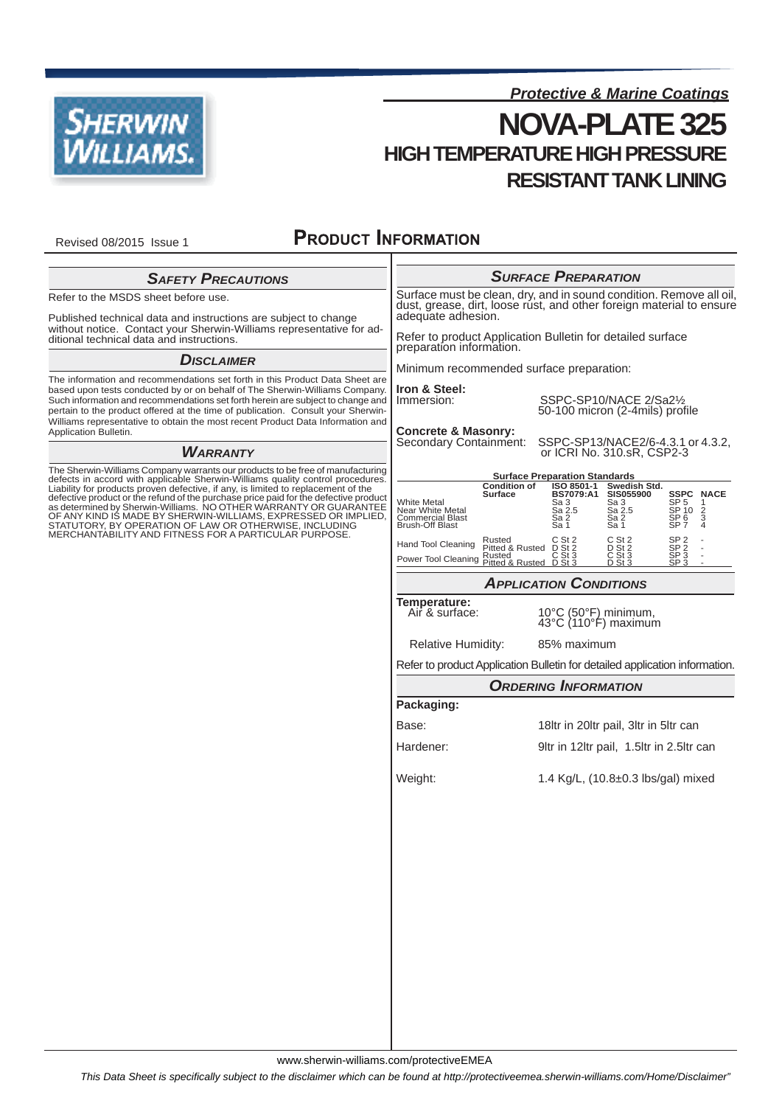

Revised 08/2015 Issue 1

#### **PRODUCT INFORMATION**

| <b>SURFACE PREPARATION</b><br><b>SAFETY PRECAUTIONS</b><br>Refer to the MSDS sheet before use.<br>adequate adhesion.<br>Published technical data and instructions are subject to change                                                                                                                                                                                                                                                                                                                                                                                                                                                                                                         |                                                                                                                                             |  |  |  |
|-------------------------------------------------------------------------------------------------------------------------------------------------------------------------------------------------------------------------------------------------------------------------------------------------------------------------------------------------------------------------------------------------------------------------------------------------------------------------------------------------------------------------------------------------------------------------------------------------------------------------------------------------------------------------------------------------|---------------------------------------------------------------------------------------------------------------------------------------------|--|--|--|
|                                                                                                                                                                                                                                                                                                                                                                                                                                                                                                                                                                                                                                                                                                 |                                                                                                                                             |  |  |  |
|                                                                                                                                                                                                                                                                                                                                                                                                                                                                                                                                                                                                                                                                                                 | Surface must be clean, dry, and in sound condition. Remove all oil,<br>dust, grease, dirt, loose rust, and other foreign material to ensure |  |  |  |
| without notice. Contact your Sherwin-Williams representative for ad-<br>Refer to product Application Bulletin for detailed surface<br>ditional technical data and instructions.<br>preparation information.                                                                                                                                                                                                                                                                                                                                                                                                                                                                                     |                                                                                                                                             |  |  |  |
| <b>DISCLAIMER</b><br>Minimum recommended surface preparation:                                                                                                                                                                                                                                                                                                                                                                                                                                                                                                                                                                                                                                   |                                                                                                                                             |  |  |  |
| The information and recommendations set forth in this Product Data Sheet are<br>Iron & Steel:<br>based upon tests conducted by or on behalf of The Sherwin-Williams Company.<br>SSPC-SP10/NACE 2/Sa21/2<br>Immersion:<br>Such information and recommendations set forth herein are subject to change and<br>50-100 micron (2-4mils) profile<br>pertain to the product offered at the time of publication. Consult your Sherwin-<br>Williams representative to obtain the most recent Product Data Information and<br><b>Concrete &amp; Masonry:</b><br>Application Bulletin.                                                                                                                    |                                                                                                                                             |  |  |  |
| Secondary Containment:<br>SSPC-SP13/NACE2/6-4.3.1 or 4.3.2,<br><b>WARRANTY</b><br>or ICRI No. 310.sR, CSP2-3                                                                                                                                                                                                                                                                                                                                                                                                                                                                                                                                                                                    |                                                                                                                                             |  |  |  |
| The Sherwin-Williams Company warrants our products to be free of manufacturing<br><b>Surface Preparation Standards</b><br>defects in accord with applicable Sherwin-Williams quality control procedures.                                                                                                                                                                                                                                                                                                                                                                                                                                                                                        |                                                                                                                                             |  |  |  |
| <b>Condition of</b><br>ISO 8501-1<br>Swedish Std.<br>Liability for products proven defective, if any, is limited to replacement of the<br><b>SSPC NACE</b><br>BS7079:A1<br>Surface<br><b>SIS055900</b><br>defective product or the refund of the purchase price paid for the defective product<br>as determined by Sherwin-Williams. NO OTHER WARRANTY OR GUARANTEE<br>SP <sub>5</sub><br><b>White Metal</b><br>Sa 3<br>Sa 2.5<br>Sa 3<br>Sa 2.5<br>ŠP 10<br>Near White Metal<br>OF ANY KIND IS MADE BY SHERWIN-WILLIAMS, EXPRESSED OR IMPLIED,<br>Commercial Blast<br>Sa 2<br>Sa 2<br>SP 6<br>STATUTORY, BY OPERATION OF LAW OR OTHERWISE, INCLUDING<br><b>Brush-Off Blast</b><br>Sa 1<br>Sa 1 | $\frac{1}{2}$<br>$\frac{3}{4}$                                                                                                              |  |  |  |
| MERCHANTABILITY AND FITNESS FOR A PARTICULAR PURPOSE.<br>C St 2<br>D St 2<br>C St 3<br>D St 3<br>C St 2<br>D St 2<br>C St 3<br>D St 3<br>SP <sub>2</sub><br>SP <sub>2</sub><br>SP <sub>3</sub><br>Rusted<br><b>Hand Tool Cleaning</b><br>Pitted & Rusted<br>Rusted<br>Power Tool Cleaning<br>Pitted & Rusted<br>SP 3                                                                                                                                                                                                                                                                                                                                                                            |                                                                                                                                             |  |  |  |
| <b>APPLICATION CONDITIONS</b>                                                                                                                                                                                                                                                                                                                                                                                                                                                                                                                                                                                                                                                                   |                                                                                                                                             |  |  |  |
| Temperature:<br>Air & surface:<br>10°C (50°F) minimum,<br>43°C (110°F) maximum                                                                                                                                                                                                                                                                                                                                                                                                                                                                                                                                                                                                                  |                                                                                                                                             |  |  |  |
| <b>Relative Humidity:</b><br>85% maximum                                                                                                                                                                                                                                                                                                                                                                                                                                                                                                                                                                                                                                                        |                                                                                                                                             |  |  |  |
|                                                                                                                                                                                                                                                                                                                                                                                                                                                                                                                                                                                                                                                                                                 | Refer to product Application Bulletin for detailed application information.                                                                 |  |  |  |
| <b>ORDERING INFORMATION</b>                                                                                                                                                                                                                                                                                                                                                                                                                                                                                                                                                                                                                                                                     |                                                                                                                                             |  |  |  |
| Packaging:                                                                                                                                                                                                                                                                                                                                                                                                                                                                                                                                                                                                                                                                                      |                                                                                                                                             |  |  |  |
| Base:<br>18ltr in 20ltr pail, 3ltr in 5ltr can                                                                                                                                                                                                                                                                                                                                                                                                                                                                                                                                                                                                                                                  |                                                                                                                                             |  |  |  |
| Hardener:<br>9ltr in 12ltr pail, 1.5ltr in 2.5ltr can                                                                                                                                                                                                                                                                                                                                                                                                                                                                                                                                                                                                                                           |                                                                                                                                             |  |  |  |
| 1.4 Kg/L, $(10.8 \pm 0.3 \text{ lbs/gal})$ mixed<br>Weight:                                                                                                                                                                                                                                                                                                                                                                                                                                                                                                                                                                                                                                     |                                                                                                                                             |  |  |  |
|                                                                                                                                                                                                                                                                                                                                                                                                                                                                                                                                                                                                                                                                                                 |                                                                                                                                             |  |  |  |
|                                                                                                                                                                                                                                                                                                                                                                                                                                                                                                                                                                                                                                                                                                 |                                                                                                                                             |  |  |  |
|                                                                                                                                                                                                                                                                                                                                                                                                                                                                                                                                                                                                                                                                                                 |                                                                                                                                             |  |  |  |
|                                                                                                                                                                                                                                                                                                                                                                                                                                                                                                                                                                                                                                                                                                 |                                                                                                                                             |  |  |  |
|                                                                                                                                                                                                                                                                                                                                                                                                                                                                                                                                                                                                                                                                                                 |                                                                                                                                             |  |  |  |
|                                                                                                                                                                                                                                                                                                                                                                                                                                                                                                                                                                                                                                                                                                 |                                                                                                                                             |  |  |  |

www.sherwin-williams.com/protectiveEMEA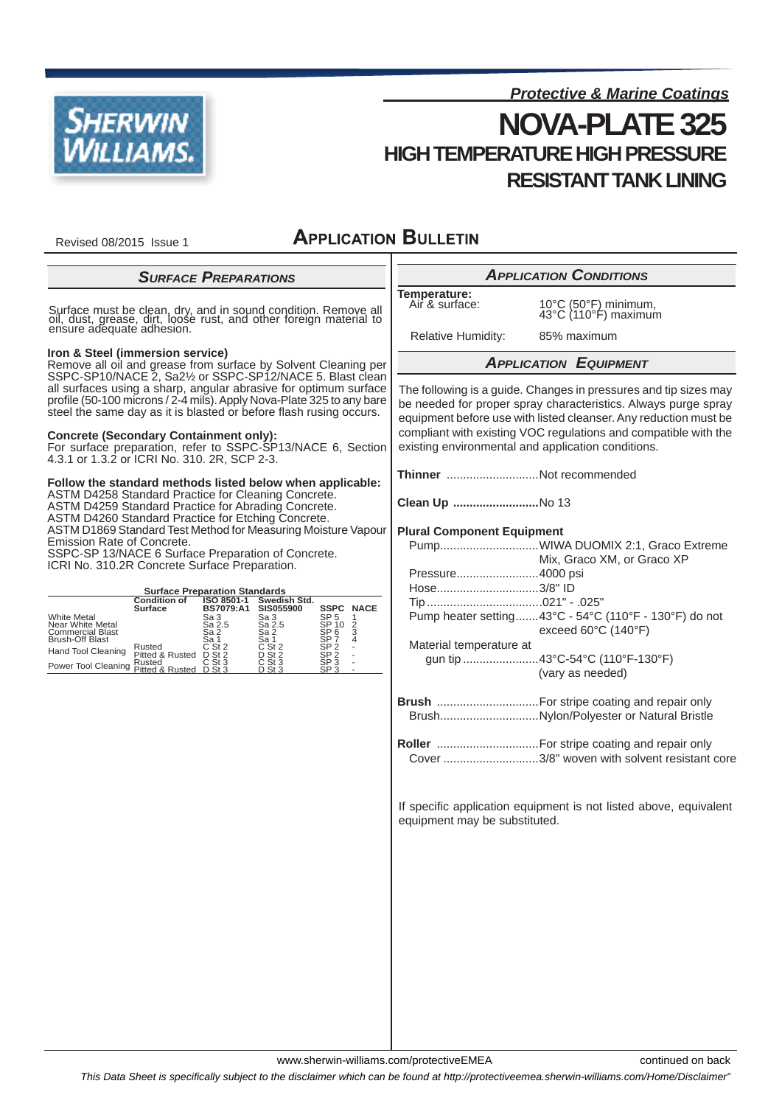

Revised 08/2015 Issue 1

#### **APPLICATION BULLETIN**

| <b>SURFACE PREPARATIONS</b>                                                                                                                                                                                     | <b>APPLICATION CONDITIONS</b>                                                                                                                                                                                                                                                                                                   |  |  |
|-----------------------------------------------------------------------------------------------------------------------------------------------------------------------------------------------------------------|---------------------------------------------------------------------------------------------------------------------------------------------------------------------------------------------------------------------------------------------------------------------------------------------------------------------------------|--|--|
|                                                                                                                                                                                                                 | Temperature:                                                                                                                                                                                                                                                                                                                    |  |  |
| Surface must be clean, dry, and in sound condition. Remove all oil, dust, grease, dirt, loose rust, and other foreign material to ensure adequate adhesion.                                                     | Air & surface:<br>10°C (50°F) minimum,<br>$43^{\circ}$ C (110 $^{\circ}$ F) maximum                                                                                                                                                                                                                                             |  |  |
|                                                                                                                                                                                                                 | <b>Relative Humidity:</b><br>85% maximum                                                                                                                                                                                                                                                                                        |  |  |
| Iron & Steel (immersion service)<br>Remove all oil and grease from surface by Solvent Cleaning per<br>SSPC-SP10/NACE 2, Sa21/2 or SSPC-SP12/NACE 5. Blast clean                                                 | <b>APPLICATION EQUIPMENT</b>                                                                                                                                                                                                                                                                                                    |  |  |
| all surfaces using a sharp, angular abrasive for optimum surface<br>profile (50-100 microns / 2-4 mils). Apply Nova-Plate 325 to any bare<br>steel the same day as it is blasted or before flash rusing occurs. | The following is a guide. Changes in pressures and tip sizes may<br>be needed for proper spray characteristics. Always purge spray<br>equipment before use with listed cleanser. Any reduction must be<br>compliant with existing VOC regulations and compatible with the<br>existing environmental and application conditions. |  |  |
| <b>Concrete (Secondary Containment only):</b><br>For surface preparation, refer to SSPC-SP13/NACE 6, Section<br>4.3.1 or 1.3.2 or ICRI No. 310. 2R, SCP 2-3.                                                    |                                                                                                                                                                                                                                                                                                                                 |  |  |
|                                                                                                                                                                                                                 | Thinner Not recommended                                                                                                                                                                                                                                                                                                         |  |  |
| Follow the standard methods listed below when applicable:<br>ASTM D4258 Standard Practice for Cleaning Concrete.                                                                                                |                                                                                                                                                                                                                                                                                                                                 |  |  |
| ASTM D4259 Standard Practice for Abrading Concrete.<br>ASTM D4260 Standard Practice for Etching Concrete.                                                                                                       | Clean Up No 13                                                                                                                                                                                                                                                                                                                  |  |  |
| ASTM D1869 Standard Test Method for Measuring Moisture Vapour<br>Emission Rate of Concrete.                                                                                                                     | <b>Plural Component Equipment</b>                                                                                                                                                                                                                                                                                               |  |  |
| SSPC-SP 13/NACE 6 Surface Preparation of Concrete.<br>ICRI No. 310.2R Concrete Surface Preparation.                                                                                                             | PumpWIWA DUOMIX 2:1, Graco Extreme<br>Mix, Graco XM, or Graco XP                                                                                                                                                                                                                                                                |  |  |
|                                                                                                                                                                                                                 | Pressure4000 psi<br>Hose3/8" ID                                                                                                                                                                                                                                                                                                 |  |  |
| <b>Surface Preparation Standards</b><br><b>Condition of</b><br>ISO 8501-1<br>Swedish Std.                                                                                                                       |                                                                                                                                                                                                                                                                                                                                 |  |  |
| <b>SSPC NACE</b><br><b>Surface</b><br>BS7079:A1<br><b>SIS055900</b><br>SP <sub>5</sub><br>White Metal<br>Sa 3<br>Sa 3                                                                                           | Pump heater setting43°C - 54°C (110°F - 130°F) do not                                                                                                                                                                                                                                                                           |  |  |
| Near White Metal<br>SP 10<br>$\frac{2}{3}$<br>Sa 2.5<br>Sa 2.5<br><b>Commercial Blast</b><br>Sa 2<br>ŠP 6<br>SP 7                                                                                               | exceed 60°C (140°F)                                                                                                                                                                                                                                                                                                             |  |  |
| <b>Brush-Off Blast</b><br>Sa 1<br>Rusted<br>Pitted & Rusted<br>Rusted C St 3<br>SP 2<br>SP 2<br>SP 3<br>Hand Tool Cleaning                                                                                      | Material temperature at                                                                                                                                                                                                                                                                                                         |  |  |
| Sa 2<br>Sa 1<br>C St 2<br>C St 3<br>C St 3<br>D St 3<br>Power Tool Cleaning Rusted<br>Pitted & Rusted<br>SP 3<br>$D$ St 3                                                                                       | gun tip 43°C-54°C (110°F-130°F)                                                                                                                                                                                                                                                                                                 |  |  |
|                                                                                                                                                                                                                 | (vary as needed)                                                                                                                                                                                                                                                                                                                |  |  |
|                                                                                                                                                                                                                 | BrushNylon/Polyester or Natural Bristle                                                                                                                                                                                                                                                                                         |  |  |
|                                                                                                                                                                                                                 |                                                                                                                                                                                                                                                                                                                                 |  |  |
|                                                                                                                                                                                                                 | Cover 3/8" woven with solvent resistant core                                                                                                                                                                                                                                                                                    |  |  |
|                                                                                                                                                                                                                 | If specific application equipment is not listed above, equivalent<br>equipment may be substituted.                                                                                                                                                                                                                              |  |  |
|                                                                                                                                                                                                                 |                                                                                                                                                                                                                                                                                                                                 |  |  |
|                                                                                                                                                                                                                 |                                                                                                                                                                                                                                                                                                                                 |  |  |
|                                                                                                                                                                                                                 |                                                                                                                                                                                                                                                                                                                                 |  |  |
|                                                                                                                                                                                                                 |                                                                                                                                                                                                                                                                                                                                 |  |  |
|                                                                                                                                                                                                                 |                                                                                                                                                                                                                                                                                                                                 |  |  |
|                                                                                                                                                                                                                 |                                                                                                                                                                                                                                                                                                                                 |  |  |
|                                                                                                                                                                                                                 |                                                                                                                                                                                                                                                                                                                                 |  |  |
|                                                                                                                                                                                                                 |                                                                                                                                                                                                                                                                                                                                 |  |  |
|                                                                                                                                                                                                                 |                                                                                                                                                                                                                                                                                                                                 |  |  |
|                                                                                                                                                                                                                 |                                                                                                                                                                                                                                                                                                                                 |  |  |

www.sherwin-williams.com/protectiveEMEA